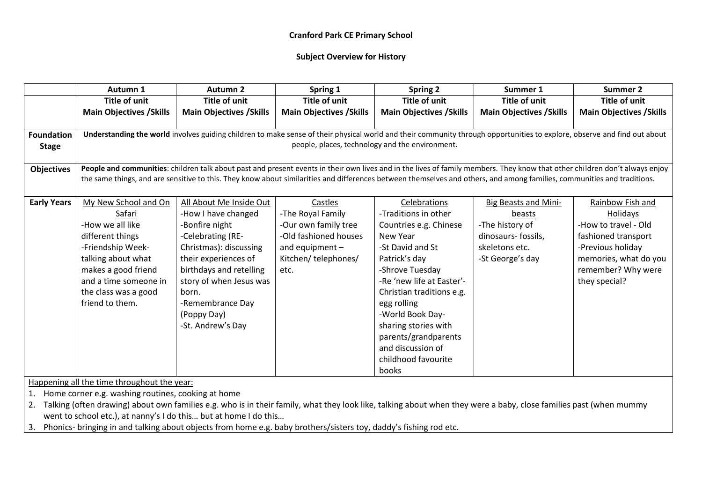#### **Subject Overview for History**

|                    | Autumn 1                                                                                                                                                                    | <b>Autumn 2</b>                                                                                                                                                          | Spring 1                        | <b>Spring 2</b>                                 | Summer 1                        | <b>Summer 2</b>                 |  |
|--------------------|-----------------------------------------------------------------------------------------------------------------------------------------------------------------------------|--------------------------------------------------------------------------------------------------------------------------------------------------------------------------|---------------------------------|-------------------------------------------------|---------------------------------|---------------------------------|--|
|                    | <b>Title of unit</b>                                                                                                                                                        | <b>Title of unit</b>                                                                                                                                                     | <b>Title of unit</b>            | <b>Title of unit</b>                            | <b>Title of unit</b>            | <b>Title of unit</b>            |  |
|                    | <b>Main Objectives / Skills</b>                                                                                                                                             | <b>Main Objectives / Skills</b>                                                                                                                                          | <b>Main Objectives / Skills</b> | <b>Main Objectives / Skills</b>                 | <b>Main Objectives / Skills</b> | <b>Main Objectives / Skills</b> |  |
|                    |                                                                                                                                                                             |                                                                                                                                                                          |                                 |                                                 |                                 |                                 |  |
| <b>Foundation</b>  |                                                                                                                                                                             | Understanding the world involves guiding children to make sense of their physical world and their community through opportunities to explore, observe and find out about |                                 |                                                 |                                 |                                 |  |
| <b>Stage</b>       |                                                                                                                                                                             |                                                                                                                                                                          |                                 | people, places, technology and the environment. |                                 |                                 |  |
|                    |                                                                                                                                                                             |                                                                                                                                                                          |                                 |                                                 |                                 |                                 |  |
| <b>Objectives</b>  | People and communities: children talk about past and present events in their own lives and in the lives of family members. They know that other children don't always enjoy |                                                                                                                                                                          |                                 |                                                 |                                 |                                 |  |
|                    |                                                                                                                                                                             | the same things, and are sensitive to this. They know about similarities and differences between themselves and others, and among families, communities and traditions.  |                                 |                                                 |                                 |                                 |  |
|                    |                                                                                                                                                                             |                                                                                                                                                                          |                                 |                                                 |                                 |                                 |  |
| <b>Early Years</b> | My New School and On                                                                                                                                                        | All About Me Inside Out                                                                                                                                                  | Castles                         | Celebrations                                    | <b>Big Beasts and Mini-</b>     | Rainbow Fish and                |  |
|                    | Safari                                                                                                                                                                      | -How I have changed                                                                                                                                                      | -The Royal Family               | -Traditions in other                            | beasts                          | Holidays                        |  |
|                    | -How we all like                                                                                                                                                            | -Bonfire night                                                                                                                                                           | -Our own family tree            | Countries e.g. Chinese                          | -The history of                 | -How to travel - Old            |  |
|                    | different things                                                                                                                                                            | -Celebrating (RE-                                                                                                                                                        | -Old fashioned houses           | New Year                                        | dinosaurs- fossils,             | fashioned transport             |  |
|                    | -Friendship Week-                                                                                                                                                           | Christmas): discussing                                                                                                                                                   | and equipment $-$               | -St David and St                                | skeletons etc.                  | -Previous holiday               |  |
|                    | talking about what                                                                                                                                                          | their experiences of                                                                                                                                                     | Kitchen/telephones/             | Patrick's day                                   | -St George's day                | memories, what do you           |  |
|                    | makes a good friend                                                                                                                                                         | birthdays and retelling                                                                                                                                                  | etc.                            | -Shrove Tuesday                                 |                                 | remember? Why were              |  |
|                    | and a time someone in                                                                                                                                                       | story of when Jesus was                                                                                                                                                  |                                 | -Re 'new life at Easter'-                       |                                 | they special?                   |  |
|                    | the class was a good                                                                                                                                                        | born.                                                                                                                                                                    |                                 | Christian traditions e.g.                       |                                 |                                 |  |
|                    | friend to them.                                                                                                                                                             | -Remembrance Day                                                                                                                                                         |                                 | egg rolling                                     |                                 |                                 |  |
|                    |                                                                                                                                                                             | (Poppy Day)                                                                                                                                                              |                                 | -World Book Day-                                |                                 |                                 |  |
|                    |                                                                                                                                                                             | -St. Andrew's Day                                                                                                                                                        |                                 | sharing stories with                            |                                 |                                 |  |
|                    |                                                                                                                                                                             |                                                                                                                                                                          |                                 | parents/grandparents                            |                                 |                                 |  |
|                    |                                                                                                                                                                             |                                                                                                                                                                          |                                 | and discussion of                               |                                 |                                 |  |
|                    |                                                                                                                                                                             |                                                                                                                                                                          |                                 | childhood favourite                             |                                 |                                 |  |
|                    |                                                                                                                                                                             |                                                                                                                                                                          |                                 | books                                           |                                 |                                 |  |
|                    | المتعاطف والمستوا والمستنقط والمستحقق والمستعمل والمستقيم والمستحل والمستحل المتناوب                                                                                        |                                                                                                                                                                          |                                 |                                                 |                                 |                                 |  |

Happening all the time throughout the year:

1. Home corner e.g. washing routines, cooking at home

2. Talking (often drawing) about own families e.g. who is in their family, what they look like, talking about when they were a baby, close families past (when mummy went to school etc.), at nanny's I do this… but at home I do this…

3. Phonics- bringing in and talking about objects from home e.g. baby brothers/sisters toy, daddy's fishing rod etc.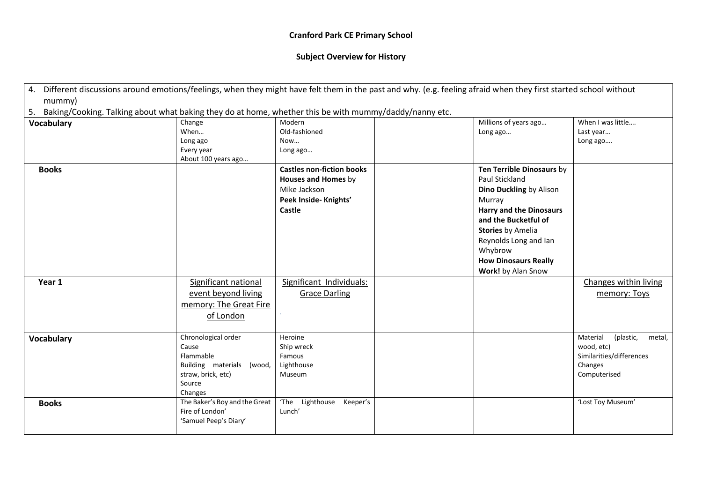| 4. Different discussions around emotions/feelings, when they might have felt them in the past and why. (e.g. feeling afraid when they first started school without |                                                                                                           |                               |                                  |  |                                |                                 |  |
|--------------------------------------------------------------------------------------------------------------------------------------------------------------------|-----------------------------------------------------------------------------------------------------------|-------------------------------|----------------------------------|--|--------------------------------|---------------------------------|--|
| mummy)                                                                                                                                                             |                                                                                                           |                               |                                  |  |                                |                                 |  |
|                                                                                                                                                                    | 5. Baking/Cooking. Talking about what baking they do at home, whether this be with mummy/daddy/nanny etc. |                               |                                  |  |                                |                                 |  |
| <b>Vocabulary</b>                                                                                                                                                  |                                                                                                           | Change                        | Modern                           |  | Millions of years ago          | When I was little               |  |
|                                                                                                                                                                    |                                                                                                           | When                          | Old-fashioned                    |  | Long ago                       | Last year                       |  |
|                                                                                                                                                                    |                                                                                                           | Long ago                      | Now                              |  |                                | Long ago                        |  |
|                                                                                                                                                                    |                                                                                                           | Every year                    | Long ago                         |  |                                |                                 |  |
|                                                                                                                                                                    |                                                                                                           | About 100 years ago           |                                  |  |                                |                                 |  |
| <b>Books</b>                                                                                                                                                       |                                                                                                           |                               | <b>Castles non-fiction books</b> |  | Ten Terrible Dinosaurs by      |                                 |  |
|                                                                                                                                                                    |                                                                                                           |                               | Houses and Homes by              |  | Paul Stickland                 |                                 |  |
|                                                                                                                                                                    |                                                                                                           |                               | Mike Jackson                     |  | Dino Duckling by Alison        |                                 |  |
|                                                                                                                                                                    |                                                                                                           |                               | Peek Inside- Knights'            |  | Murray                         |                                 |  |
|                                                                                                                                                                    |                                                                                                           |                               | Castle                           |  | <b>Harry and the Dinosaurs</b> |                                 |  |
|                                                                                                                                                                    |                                                                                                           |                               |                                  |  | and the Bucketful of           |                                 |  |
|                                                                                                                                                                    |                                                                                                           |                               |                                  |  | <b>Stories by Amelia</b>       |                                 |  |
|                                                                                                                                                                    |                                                                                                           |                               |                                  |  | Reynolds Long and Ian          |                                 |  |
|                                                                                                                                                                    |                                                                                                           |                               |                                  |  | Whybrow                        |                                 |  |
|                                                                                                                                                                    |                                                                                                           |                               |                                  |  | <b>How Dinosaurs Really</b>    |                                 |  |
|                                                                                                                                                                    |                                                                                                           |                               |                                  |  | Work! by Alan Snow             |                                 |  |
| Year 1                                                                                                                                                             |                                                                                                           | Significant national          | Significant Individuals:         |  |                                | Changes within living           |  |
|                                                                                                                                                                    |                                                                                                           | event beyond living           | <b>Grace Darling</b>             |  |                                | memory: Toys                    |  |
|                                                                                                                                                                    |                                                                                                           | memory: The Great Fire        |                                  |  |                                |                                 |  |
|                                                                                                                                                                    |                                                                                                           | of London                     |                                  |  |                                |                                 |  |
|                                                                                                                                                                    |                                                                                                           |                               |                                  |  |                                |                                 |  |
|                                                                                                                                                                    |                                                                                                           | Chronological order           | Heroine                          |  |                                | Material<br>(plastic,<br>metal, |  |
| <b>Vocabulary</b>                                                                                                                                                  |                                                                                                           | Cause                         | Ship wreck                       |  |                                | wood, etc)                      |  |
|                                                                                                                                                                    |                                                                                                           | Flammable                     | Famous                           |  |                                | Similarities/differences        |  |
|                                                                                                                                                                    |                                                                                                           | Building materials (wood,     | Lighthouse                       |  |                                | Changes                         |  |
|                                                                                                                                                                    |                                                                                                           | straw, brick, etc)            | Museum                           |  |                                | Computerised                    |  |
|                                                                                                                                                                    |                                                                                                           | Source                        |                                  |  |                                |                                 |  |
|                                                                                                                                                                    |                                                                                                           | Changes                       |                                  |  |                                |                                 |  |
| <b>Books</b>                                                                                                                                                       |                                                                                                           | The Baker's Boy and the Great | 'The<br>Lighthouse<br>Keeper's   |  |                                | 'Lost Toy Museum'               |  |
|                                                                                                                                                                    |                                                                                                           | Fire of London'               | Lunch'                           |  |                                |                                 |  |
|                                                                                                                                                                    |                                                                                                           | 'Samuel Peep's Diary'         |                                  |  |                                |                                 |  |
|                                                                                                                                                                    |                                                                                                           |                               |                                  |  |                                |                                 |  |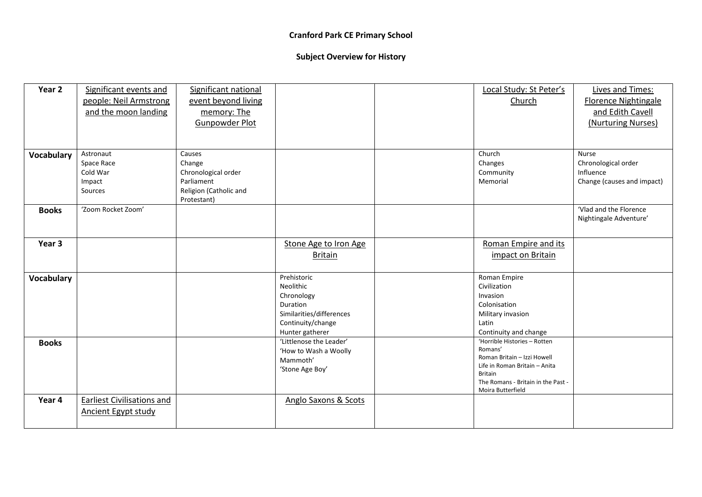| Year <sub>2</sub> | Significant events and            | Significant national   |                          | Local Study: St Peter's                         | Lives and Times:            |
|-------------------|-----------------------------------|------------------------|--------------------------|-------------------------------------------------|-----------------------------|
|                   | people: Neil Armstrong            | event beyond living    |                          | Church                                          | <b>Florence Nightingale</b> |
|                   | and the moon landing              | memory: The            |                          |                                                 | and Edith Cavell            |
|                   |                                   | Gunpowder Plot         |                          |                                                 | (Nurturing Nurses)          |
|                   |                                   |                        |                          |                                                 |                             |
|                   |                                   |                        |                          |                                                 |                             |
| <b>Vocabulary</b> | Astronaut                         | Causes                 |                          | Church                                          | <b>Nurse</b>                |
|                   | Space Race                        | Change                 |                          | Changes                                         | Chronological order         |
|                   | Cold War                          | Chronological order    |                          | Community                                       | Influence                   |
|                   | Impact                            | Parliament             |                          | Memorial                                        | Change (causes and impact)  |
|                   | Sources                           | Religion (Catholic and |                          |                                                 |                             |
|                   |                                   | Protestant)            |                          |                                                 |                             |
| <b>Books</b>      | 'Zoom Rocket Zoom'                |                        |                          |                                                 | 'Vlad and the Florence      |
|                   |                                   |                        |                          |                                                 | Nightingale Adventure'      |
|                   |                                   |                        |                          |                                                 |                             |
| Year 3            |                                   |                        | Stone Age to Iron Age    | Roman Empire and its                            |                             |
|                   |                                   |                        | <b>Britain</b>           | impact on Britain                               |                             |
|                   |                                   |                        |                          |                                                 |                             |
| <b>Vocabulary</b> |                                   |                        | Prehistoric              | Roman Empire                                    |                             |
|                   |                                   |                        | Neolithic                | Civilization                                    |                             |
|                   |                                   |                        | Chronology               | Invasion                                        |                             |
|                   |                                   |                        | Duration                 | Colonisation                                    |                             |
|                   |                                   |                        | Similarities/differences | Military invasion                               |                             |
|                   |                                   |                        | Continuity/change        | Latin                                           |                             |
|                   |                                   |                        | Hunter gatherer          | Continuity and change                           |                             |
| <b>Books</b>      |                                   |                        | 'Littlenose the Leader'  | 'Horrible Histories - Rotten                    |                             |
|                   |                                   |                        | 'How to Wash a Woolly    | Romans'                                         |                             |
|                   |                                   |                        | Mammoth'                 | Roman Britain - Izzi Howell                     |                             |
|                   |                                   |                        | 'Stone Age Boy'          | Life in Roman Britain - Anita<br><b>Britain</b> |                             |
|                   |                                   |                        |                          | The Romans - Britain in the Past -              |                             |
|                   |                                   |                        |                          | Moira Butterfield                               |                             |
| Year 4            | <b>Earliest Civilisations and</b> |                        | Anglo Saxons & Scots     |                                                 |                             |
|                   | <b>Ancient Egypt study</b>        |                        |                          |                                                 |                             |
|                   |                                   |                        |                          |                                                 |                             |
|                   |                                   |                        |                          |                                                 |                             |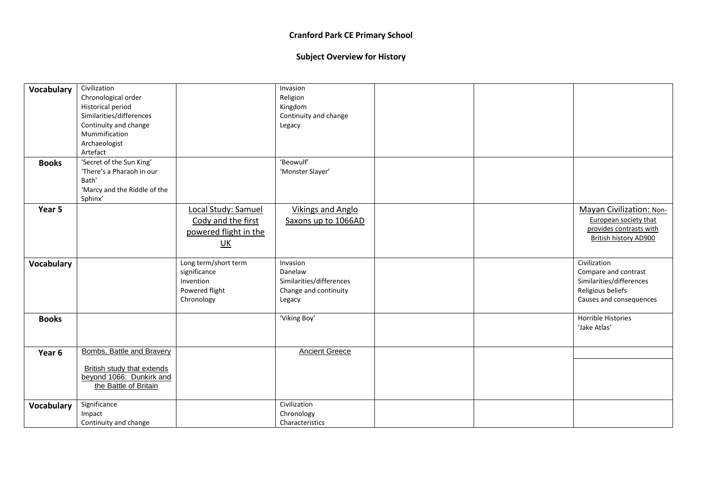| Vocabulary        | Civilization                      |                           | Invasion                 |  |                          |
|-------------------|-----------------------------------|---------------------------|--------------------------|--|--------------------------|
|                   | Chronological order               |                           | Religion                 |  |                          |
|                   | Historical period                 |                           | Kingdom                  |  |                          |
|                   | Similarities/differences          |                           | Continuity and change    |  |                          |
|                   | Continuity and change             |                           | Legacy                   |  |                          |
|                   | Mummification                     |                           |                          |  |                          |
|                   | Archaeologist                     |                           |                          |  |                          |
|                   | Artefact                          |                           |                          |  |                          |
| <b>Books</b>      | 'Secret of the Sun King'          |                           | 'Beowulf'                |  |                          |
|                   | 'There's a Pharaoh in our         |                           | 'Monster Slayer'         |  |                          |
|                   | Bath'                             |                           |                          |  |                          |
|                   | 'Marcy and the Riddle of the      |                           |                          |  |                          |
|                   | Sphinx'                           |                           |                          |  |                          |
| Year 5            |                                   | Local Study: Samuel       | <b>Vikings and Anglo</b> |  | Mayan Civilization: Non- |
|                   |                                   |                           |                          |  | European society that    |
|                   |                                   | Cody and the first        | Saxons up to 1066AD      |  | provides contrasts with  |
|                   |                                   | powered flight in the     |                          |  | British history AD900    |
|                   |                                   | $\underline{\mathsf{UK}}$ |                          |  |                          |
|                   |                                   |                           |                          |  |                          |
| Vocabulary        |                                   | Long term/short term      | Invasion                 |  | Civilization             |
|                   |                                   | significance              | Danelaw                  |  | Compare and contrast     |
|                   |                                   | Invention                 | Similarities/differences |  | Similarities/differences |
|                   |                                   | Powered flight            | Change and continuity    |  | Religious beliefs        |
|                   |                                   | Chronology                | Legacy                   |  | Causes and consequences  |
|                   |                                   |                           |                          |  |                          |
| <b>Books</b>      |                                   |                           | 'Viking Boy'             |  | Horrible Histories       |
|                   |                                   |                           |                          |  | 'Jake Atlas'             |
|                   |                                   |                           |                          |  |                          |
|                   | Bombs, Battle and Bravery         |                           | <b>Ancient Greece</b>    |  |                          |
| Year 6            |                                   |                           |                          |  |                          |
|                   | <b>British study that extends</b> |                           |                          |  |                          |
|                   | beyond 1066: Dunkirk and          |                           |                          |  |                          |
|                   | the Battle of Britain             |                           |                          |  |                          |
|                   |                                   |                           |                          |  |                          |
| <b>Vocabulary</b> | Significance                      |                           | Civilization             |  |                          |
|                   | Impact                            |                           | Chronology               |  |                          |
|                   | Continuity and change             |                           | Characteristics          |  |                          |